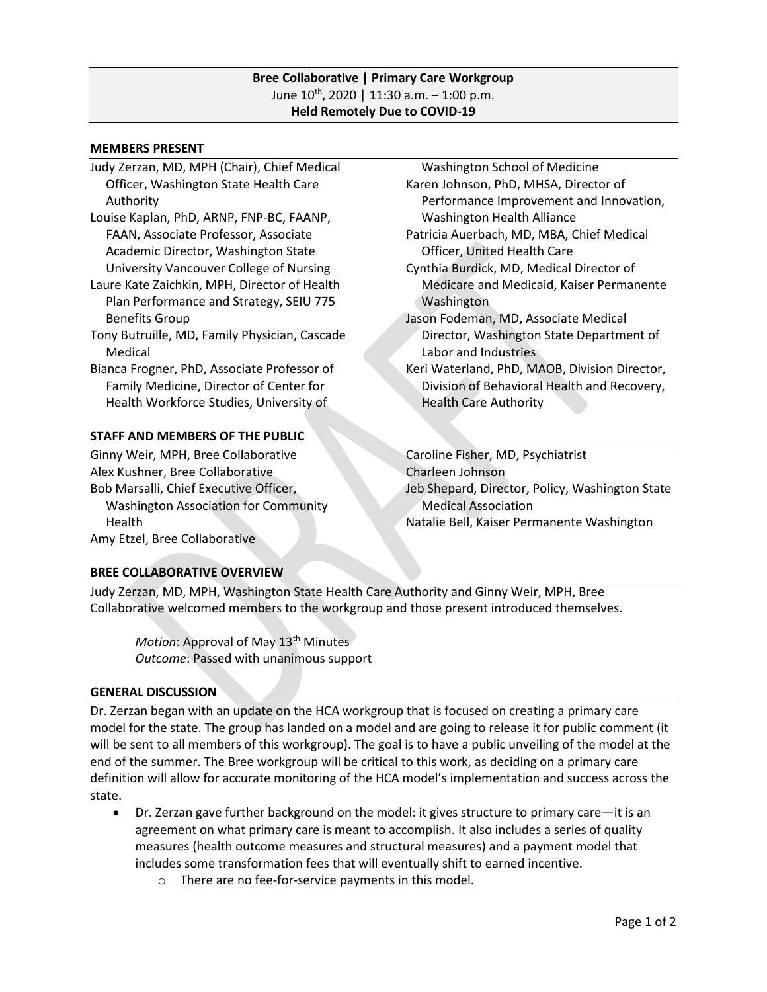### **Bree Collaborative | Primary Care Workgroup** June 10<sup>th</sup>, 2020 | 11:30 a.m. – 1:00 p.m. **Held Remotely Due to COVID-19**

#### **MEMBERS PRESENT**

- Judy Zerzan, MD, MPH (Chair), Chief Medical Officer, Washington State Health Care Authority
- Louise Kaplan, PhD, ARNP, FNP-BC, FAANP, FAAN, Associate Professor, Associate Academic Director, Washington State University Vancouver College of Nursing
- Laure Kate Zaichkin, MPH, Director of Health Plan Performance and Strategy, SEIU 775 Benefits Group
- Tony Butruille, MD, Family Physician, Cascade Medical

Bianca Frogner, PhD, Associate Professor of Family Medicine, Director of Center for Health Workforce Studies, University of

# **STAFF AND MEMBERS OF THE PUBLIC**

Ginny Weir, MPH, Bree Collaborative Alex Kushner, Bree Collaborative Bob Marsalli, Chief Executive Officer, Washington Association for Community Health

- Washington School of Medicine
- Karen Johnson, PhD, MHSA, Director of Performance Improvement and Innovation, Washington Health Alliance
- Patricia Auerbach, MD, MBA, Chief Medical Officer, United Health Care

Cynthia Burdick, MD, Medical Director of Medicare and Medicaid, Kaiser Permanente Washington

- Jason Fodeman, MD, Associate Medical Director, Washington State Department of Labor and Industries
- Keri Waterland, PhD, MAOB, Division Director, Division of Behavioral Health and Recovery, Health Care Authority

Caroline Fisher, MD, Psychiatrist Charleen Johnson Jeb Shepard, Director, Policy, Washington State Medical Association Natalie Bell, Kaiser Permanente Washington

Amy Etzel, Bree Collaborative

# **BREE COLLABORATIVE OVERVIEW**

Judy Zerzan, MD, MPH, Washington State Health Care Authority and Ginny Weir, MPH, Bree Collaborative welcomed members to the workgroup and those present introduced themselves.

*Motion*: Approval of May 13<sup>th</sup> Minutes *Outcome*: Passed with unanimous support

### **GENERAL DISCUSSION**

Dr. Zerzan began with an update on the HCA workgroup that is focused on creating a primary care model for the state. The group has landed on a model and are going to release it for public comment (it will be sent to all members of this workgroup). The goal is to have a public unveiling of the model at the end of the summer. The Bree workgroup will be critical to this work, as deciding on a primary care definition will allow for accurate monitoring of the HCA model's implementation and success across the state.

- Dr. Zerzan gave further background on the model: it gives structure to primary care—it is an agreement on what primary care is meant to accomplish. It also includes a series of quality measures (health outcome measures and structural measures) and a payment model that includes some transformation fees that will eventually shift to earned incentive.
	- o There are no fee-for-service payments in this model.